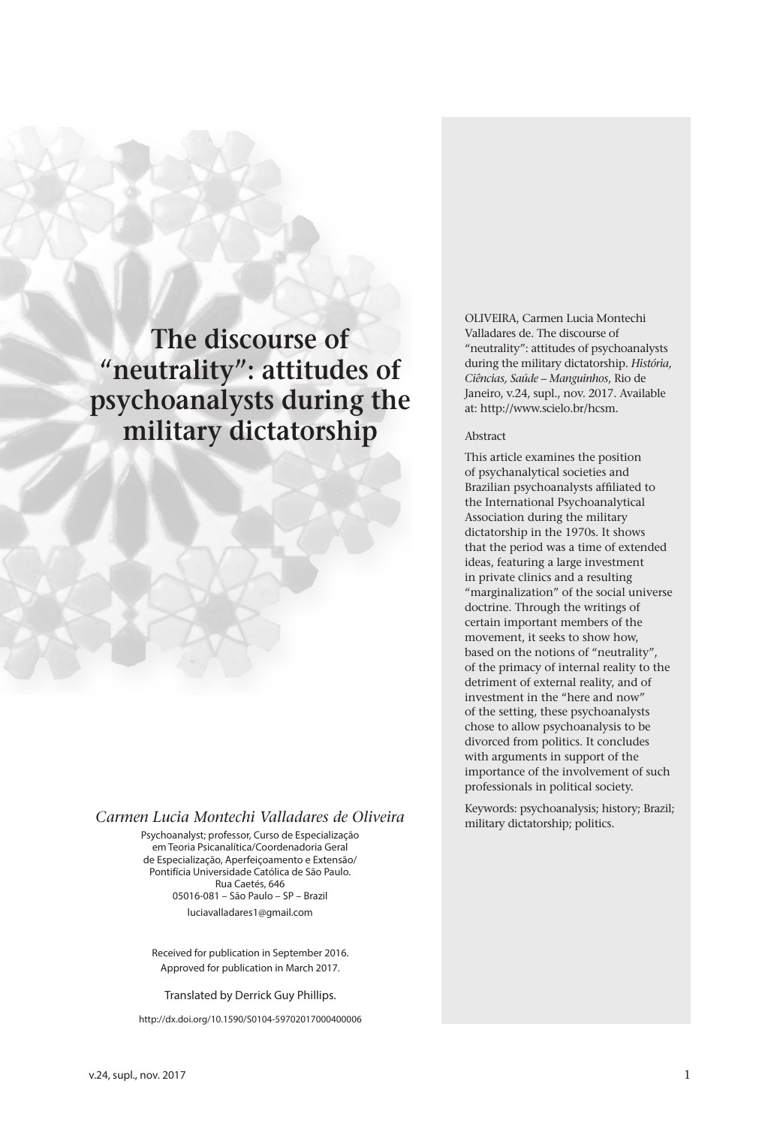# **The discourse of "neutrality": attitudes of psychoanalysts during the military dictatorship**

*Carmen Lucia Montechi Valladares de Oliveira*

Psychoanalyst; professor, Curso de Especialização em Teoria Psicanalítica/Coordenadoria Geral de Especialização, Aperfeiçoamento e Extensão/ Pontifícia Universidade Católica de São Paulo. Rua Caetés, 646 05016-081 – São Paulo – SP – Brazil luciavalladares1@gmail.com

Received for publication in September 2016. Approved for publication in March 2017.

Translated by Derrick Guy Phillips.

http://dx.doi.org/10.1590/S0104-59702017000400006

OLIVEIRA, Carmen Lucia Montechi Valladares de. The discourse of "neutrality": attitudes of psychoanalysts during the military dictatorship. *História, Ciências, Saúde – Manguinhos*, Rio de Janeiro, v.24, supl., nov. 2017. Available at: http://www.scielo.br/hcsm.

#### Abstract

This article examines the position of psychanalytical societies and Brazilian psychoanalysts affiliated to the International Psychoanalytical Association during the military dictatorship in the 1970s. It shows that the period was a time of extended ideas, featuring a large investment in private clinics and a resulting "marginalization" of the social universe doctrine. Through the writings of certain important members of the movement, it seeks to show how, based on the notions of "neutrality", of the primacy of internal reality to the detriment of external reality, and of investment in the "here and now" of the setting, these psychoanalysts chose to allow psychoanalysis to be divorced from politics. It concludes with arguments in support of the importance of the involvement of such professionals in political society.

Keywords: psychoanalysis; history; Brazil; military dictatorship; politics.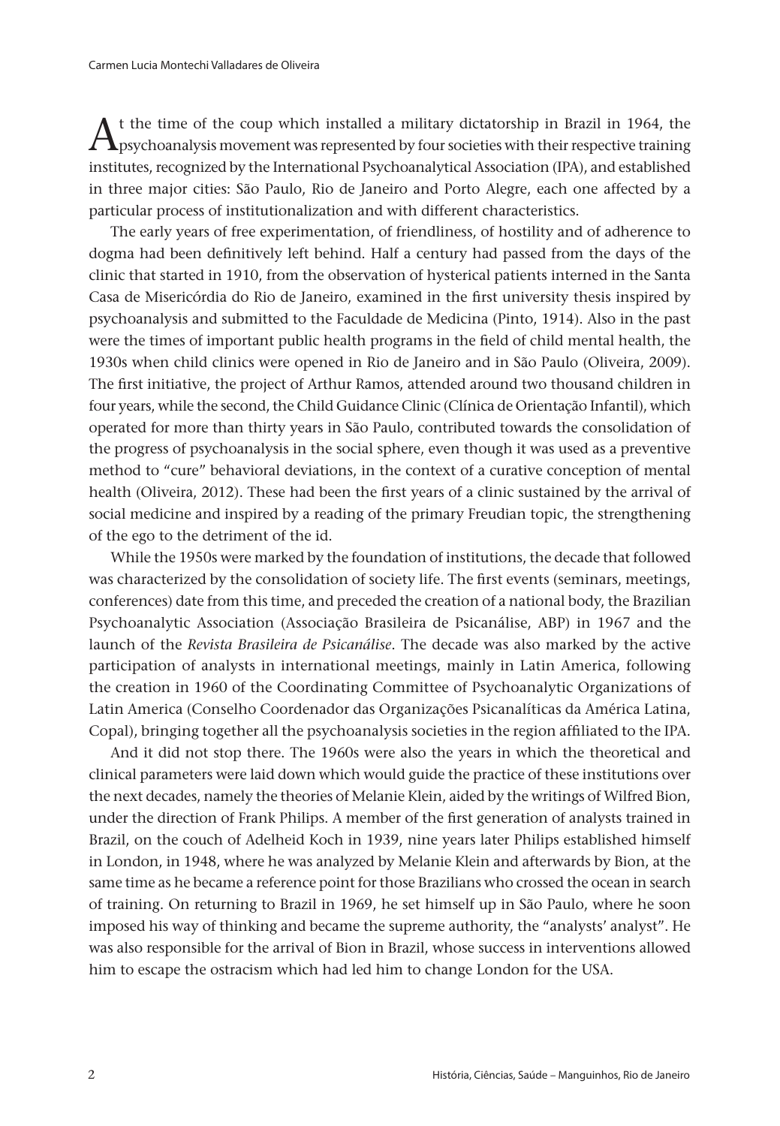$A$ <sup>t</sup> the time of the coup which installed a military dictatorship in Brazil in 1964, the psychoanalysis movement was represented by four societies with their respective training institutes, recognized by the International Psychoanalytical Association (IPA), and established in three major cities: São Paulo, Rio de Janeiro and Porto Alegre, each one affected by a particular process of institutionalization and with different characteristics.

The early years of free experimentation, of friendliness, of hostility and of adherence to dogma had been definitively left behind. Half a century had passed from the days of the clinic that started in 1910, from the observation of hysterical patients interned in the Santa Casa de Misericórdia do Rio de Janeiro, examined in the first university thesis inspired by psychoanalysis and submitted to the Faculdade de Medicina (Pinto, 1914). Also in the past were the times of important public health programs in the field of child mental health, the 1930s when child clinics were opened in Rio de Janeiro and in São Paulo (Oliveira, 2009). The first initiative, the project of Arthur Ramos, attended around two thousand children in four years, while the second, the Child Guidance Clinic (Clínica de Orientação Infantil), which operated for more than thirty years in São Paulo, contributed towards the consolidation of the progress of psychoanalysis in the social sphere, even though it was used as a preventive method to "cure" behavioral deviations, in the context of a curative conception of mental health (Oliveira, 2012). These had been the first years of a clinic sustained by the arrival of social medicine and inspired by a reading of the primary Freudian topic, the strengthening of the ego to the detriment of the id.

While the 1950s were marked by the foundation of institutions, the decade that followed was characterized by the consolidation of society life. The first events (seminars, meetings, conferences) date from this time, and preceded the creation of a national body, the Brazilian Psychoanalytic Association (Associação Brasileira de Psicanálise, ABP) in 1967 and the launch of the *Revista Brasileira de Psicanálise*. The decade was also marked by the active participation of analysts in international meetings, mainly in Latin America, following the creation in 1960 of the Coordinating Committee of Psychoanalytic Organizations of Latin America (Conselho Coordenador das Organizações Psicanalíticas da América Latina, Copal), bringing together all the psychoanalysis societies in the region affiliated to the IPA.

And it did not stop there. The 1960s were also the years in which the theoretical and clinical parameters were laid down which would guide the practice of these institutions over the next decades, namely the theories of Melanie Klein, aided by the writings of Wilfred Bion, under the direction of Frank Philips. A member of the first generation of analysts trained in Brazil, on the couch of Adelheid Koch in 1939, nine years later Philips established himself in London, in 1948, where he was analyzed by Melanie Klein and afterwards by Bion, at the same time as he became a reference point for those Brazilians who crossed the ocean in search of training. On returning to Brazil in 1969, he set himself up in São Paulo, where he soon imposed his way of thinking and became the supreme authority, the "analysts' analyst". He was also responsible for the arrival of Bion in Brazil, whose success in interventions allowed him to escape the ostracism which had led him to change London for the USA.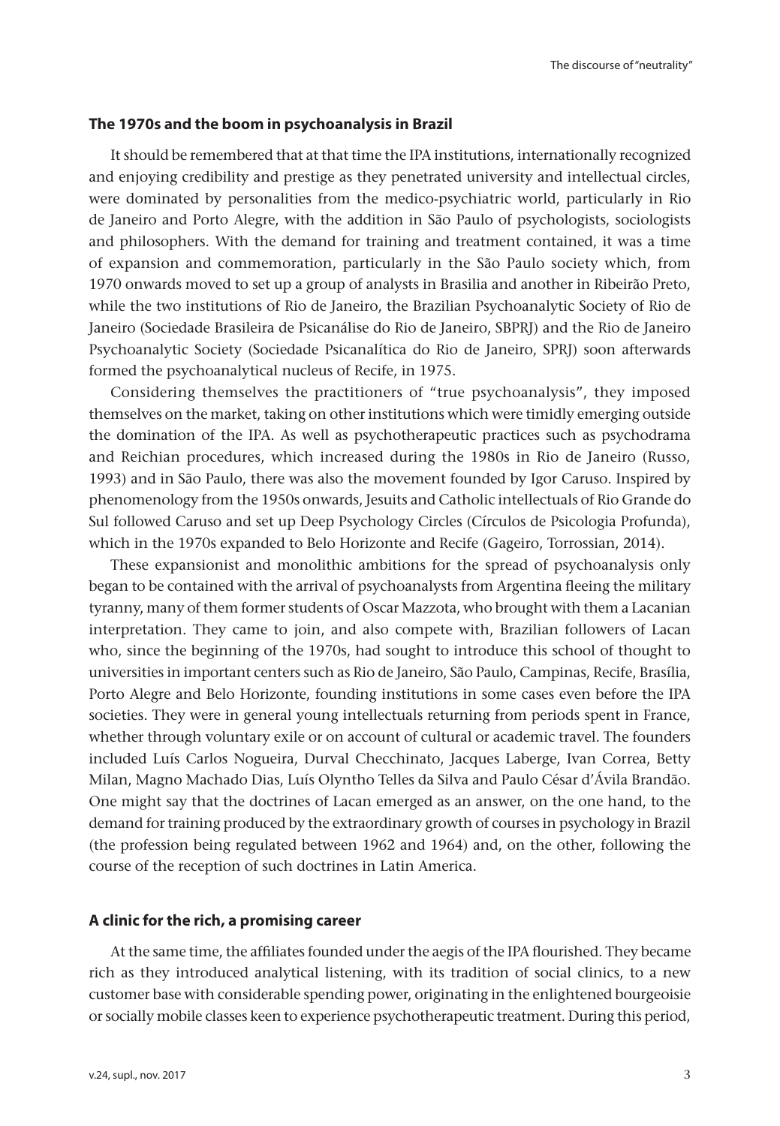# **The 1970s and the boom in psychoanalysis in Brazil**

It should be remembered that at that time the IPA institutions, internationally recognized and enjoying credibility and prestige as they penetrated university and intellectual circles, were dominated by personalities from the medico-psychiatric world, particularly in Rio de Janeiro and Porto Alegre, with the addition in São Paulo of psychologists, sociologists and philosophers. With the demand for training and treatment contained, it was a time of expansion and commemoration, particularly in the São Paulo society which, from 1970 onwards moved to set up a group of analysts in Brasilia and another in Ribeirão Preto, while the two institutions of Rio de Janeiro, the Brazilian Psychoanalytic Society of Rio de Janeiro (Sociedade Brasileira de Psicanálise do Rio de Janeiro, SBPRJ) and the Rio de Janeiro Psychoanalytic Society (Sociedade Psicanalítica do Rio de Janeiro, SPRJ) soon afterwards formed the psychoanalytical nucleus of Recife, in 1975.

Considering themselves the practitioners of "true psychoanalysis", they imposed themselves on the market, taking on other institutions which were timidly emerging outside the domination of the IPA. As well as psychotherapeutic practices such as psychodrama and Reichian procedures, which increased during the 1980s in Rio de Janeiro (Russo, 1993) and in São Paulo, there was also the movement founded by Igor Caruso. Inspired by phenomenology from the 1950s onwards, Jesuits and Catholic intellectuals of Rio Grande do Sul followed Caruso and set up Deep Psychology Circles (Círculos de Psicologia Profunda), which in the 1970s expanded to Belo Horizonte and Recife (Gageiro, Torrossian, 2014).

These expansionist and monolithic ambitions for the spread of psychoanalysis only began to be contained with the arrival of psychoanalysts from Argentina fleeing the military tyranny, many of them former students of Oscar Mazzota, who brought with them a Lacanian interpretation. They came to join, and also compete with, Brazilian followers of Lacan who, since the beginning of the 1970s, had sought to introduce this school of thought to universities in important centers such as Rio de Janeiro, São Paulo, Campinas, Recife, Brasília, Porto Alegre and Belo Horizonte, founding institutions in some cases even before the IPA societies. They were in general young intellectuals returning from periods spent in France, whether through voluntary exile or on account of cultural or academic travel. The founders included Luís Carlos Nogueira, Durval Checchinato, Jacques Laberge, Ivan Correa, Betty Milan, Magno Machado Dias, Luís Olyntho Telles da Silva and Paulo César d'Ávila Brandão. One might say that the doctrines of Lacan emerged as an answer, on the one hand, to the demand for training produced by the extraordinary growth of courses in psychology in Brazil (the profession being regulated between 1962 and 1964) and, on the other, following the course of the reception of such doctrines in Latin America.

# **A clinic for the rich, a promising career**

At the same time, the affiliates founded under the aegis of the IPA flourished. They became rich as they introduced analytical listening, with its tradition of social clinics, to a new customer base with considerable spending power, originating in the enlightened bourgeoisie or socially mobile classes keen to experience psychotherapeutic treatment. During this period,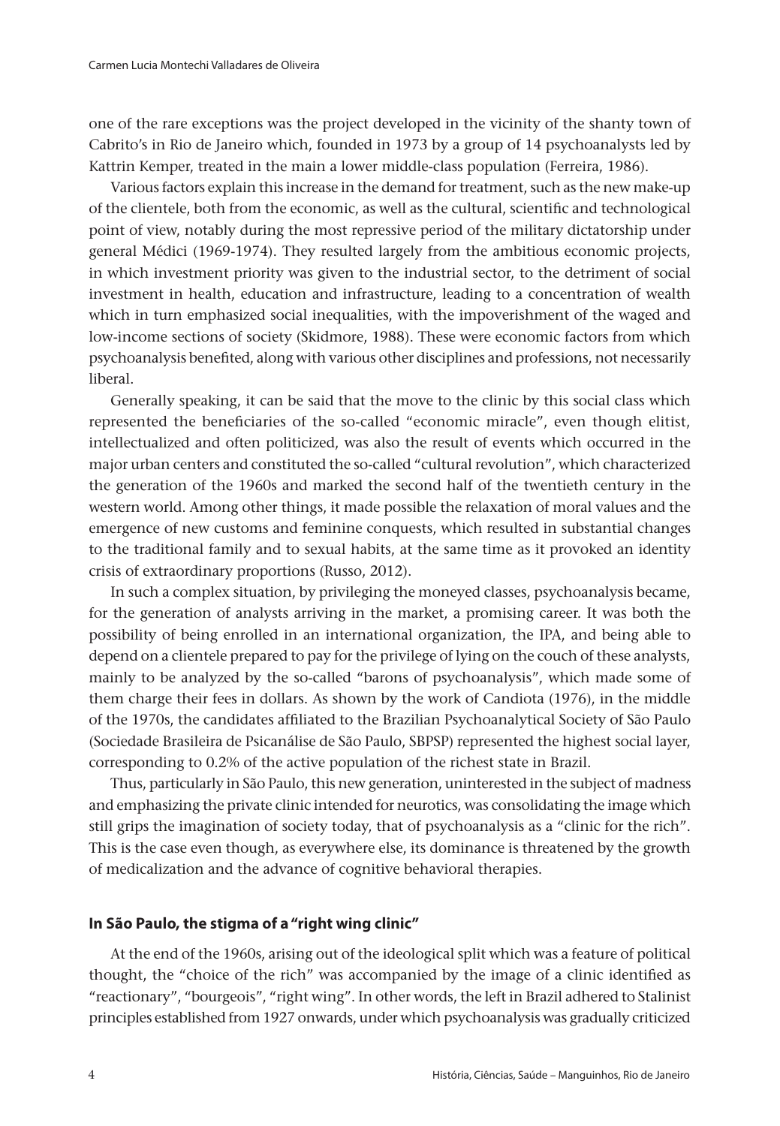one of the rare exceptions was the project developed in the vicinity of the shanty town of Cabrito's in Rio de Janeiro which, founded in 1973 by a group of 14 psychoanalysts led by Kattrin Kemper, treated in the main a lower middle-class population (Ferreira, 1986).

Various factors explain this increase in the demand for treatment, such as the new make-up of the clientele, both from the economic, as well as the cultural, scientific and technological point of view, notably during the most repressive period of the military dictatorship under general Médici (1969-1974). They resulted largely from the ambitious economic projects, in which investment priority was given to the industrial sector, to the detriment of social investment in health, education and infrastructure, leading to a concentration of wealth which in turn emphasized social inequalities, with the impoverishment of the waged and low-income sections of society (Skidmore, 1988). These were economic factors from which psychoanalysis benefited, along with various other disciplines and professions, not necessarily liberal.

Generally speaking, it can be said that the move to the clinic by this social class which represented the beneficiaries of the so-called "economic miracle", even though elitist, intellectualized and often politicized, was also the result of events which occurred in the major urban centers and constituted the so-called "cultural revolution", which characterized the generation of the 1960s and marked the second half of the twentieth century in the western world. Among other things, it made possible the relaxation of moral values and the emergence of new customs and feminine conquests, which resulted in substantial changes to the traditional family and to sexual habits, at the same time as it provoked an identity crisis of extraordinary proportions (Russo, 2012).

In such a complex situation, by privileging the moneyed classes, psychoanalysis became, for the generation of analysts arriving in the market, a promising career. It was both the possibility of being enrolled in an international organization, the IPA, and being able to depend on a clientele prepared to pay for the privilege of lying on the couch of these analysts, mainly to be analyzed by the so-called "barons of psychoanalysis", which made some of them charge their fees in dollars. As shown by the work of Candiota (1976), in the middle of the 1970s, the candidates affiliated to the Brazilian Psychoanalytical Society of São Paulo (Sociedade Brasileira de Psicanálise de São Paulo, SBPSP) represented the highest social layer, corresponding to 0.2% of the active population of the richest state in Brazil.

Thus, particularly in São Paulo, this new generation, uninterested in the subject of madness and emphasizing the private clinic intended for neurotics, was consolidating the image which still grips the imagination of society today, that of psychoanalysis as a "clinic for the rich". This is the case even though, as everywhere else, its dominance is threatened by the growth of medicalization and the advance of cognitive behavioral therapies.

# **In São Paulo, the stigma of a "right wing clinic"**

At the end of the 1960s, arising out of the ideological split which was a feature of political thought, the "choice of the rich" was accompanied by the image of a clinic identified as "reactionary", "bourgeois", "right wing". In other words, the left in Brazil adhered to Stalinist principles established from 1927 onwards, under which psychoanalysis was gradually criticized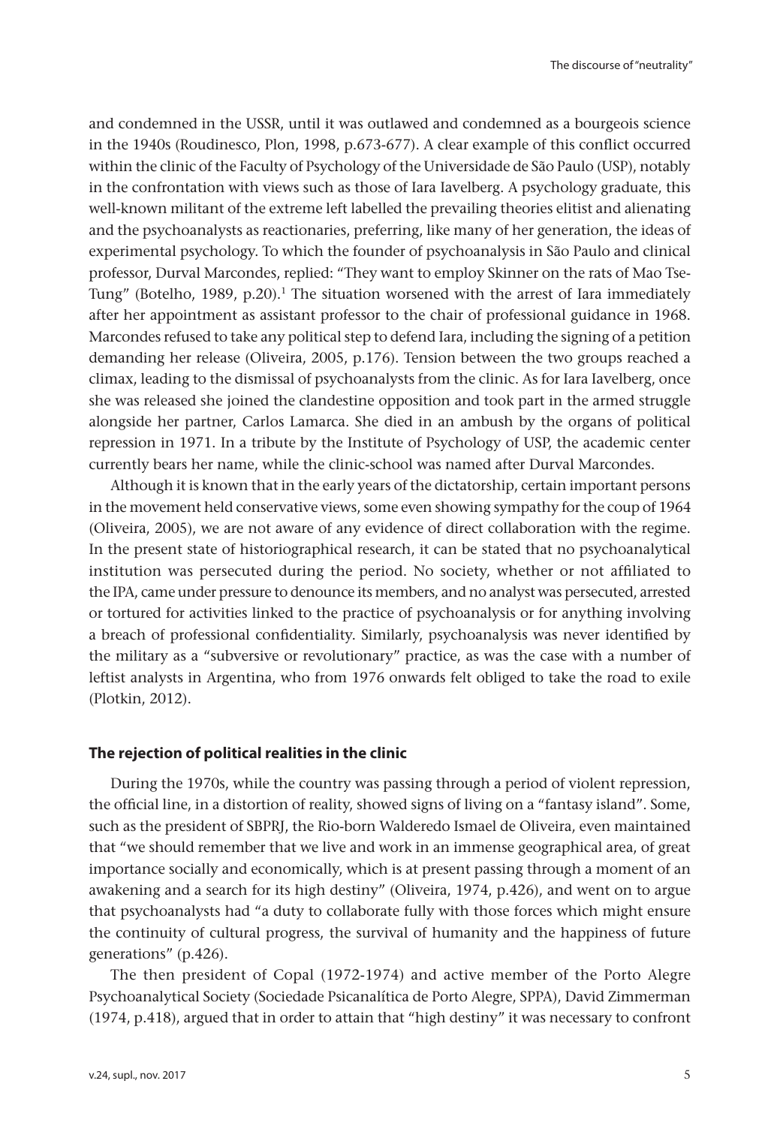and condemned in the USSR, until it was outlawed and condemned as a bourgeois science in the 1940s (Roudinesco, Plon, 1998, p.673-677). A clear example of this conflict occurred within the clinic of the Faculty of Psychology of the Universidade de São Paulo (USP), notably in the confrontation with views such as those of Iara Iavelberg. A psychology graduate, this well-known militant of the extreme left labelled the prevailing theories elitist and alienating and the psychoanalysts as reactionaries, preferring, like many of her generation, the ideas of experimental psychology. To which the founder of psychoanalysis in São Paulo and clinical professor, Durval Marcondes, replied: "They want to employ Skinner on the rats of Mao Tse-Tung" (Botelho, 1989, p.20).<sup>1</sup> The situation worsened with the arrest of Iara immediately after her appointment as assistant professor to the chair of professional guidance in 1968. Marcondes refused to take any political step to defend Iara, including the signing of a petition demanding her release (Oliveira, 2005, p.176). Tension between the two groups reached a climax, leading to the dismissal of psychoanalysts from the clinic. As for Iara Iavelberg, once she was released she joined the clandestine opposition and took part in the armed struggle alongside her partner, Carlos Lamarca. She died in an ambush by the organs of political repression in 1971. In a tribute by the Institute of Psychology of USP, the academic center currently bears her name, while the clinic-school was named after Durval Marcondes.

Although it is known that in the early years of the dictatorship, certain important persons in the movement held conservative views, some even showing sympathy for the coup of 1964 (Oliveira, 2005), we are not aware of any evidence of direct collaboration with the regime. In the present state of historiographical research, it can be stated that no psychoanalytical institution was persecuted during the period. No society, whether or not affiliated to the IPA, came under pressure to denounce its members, and no analyst was persecuted, arrested or tortured for activities linked to the practice of psychoanalysis or for anything involving a breach of professional confidentiality. Similarly, psychoanalysis was never identified by the military as a "subversive or revolutionary" practice, as was the case with a number of leftist analysts in Argentina, who from 1976 onwards felt obliged to take the road to exile (Plotkin, 2012).

# **The rejection of political realities in the clinic**

During the 1970s, while the country was passing through a period of violent repression, the official line, in a distortion of reality, showed signs of living on a "fantasy island". Some, such as the president of SBPRJ, the Rio-born Walderedo Ismael de Oliveira, even maintained that "we should remember that we live and work in an immense geographical area, of great importance socially and economically, which is at present passing through a moment of an awakening and a search for its high destiny" (Oliveira, 1974, p.426), and went on to argue that psychoanalysts had "a duty to collaborate fully with those forces which might ensure the continuity of cultural progress, the survival of humanity and the happiness of future generations" (p.426).

The then president of Copal (1972-1974) and active member of the Porto Alegre Psychoanalytical Society (Sociedade Psicanalítica de Porto Alegre, SPPA), David Zimmerman (1974, p.418), argued that in order to attain that "high destiny" it was necessary to confront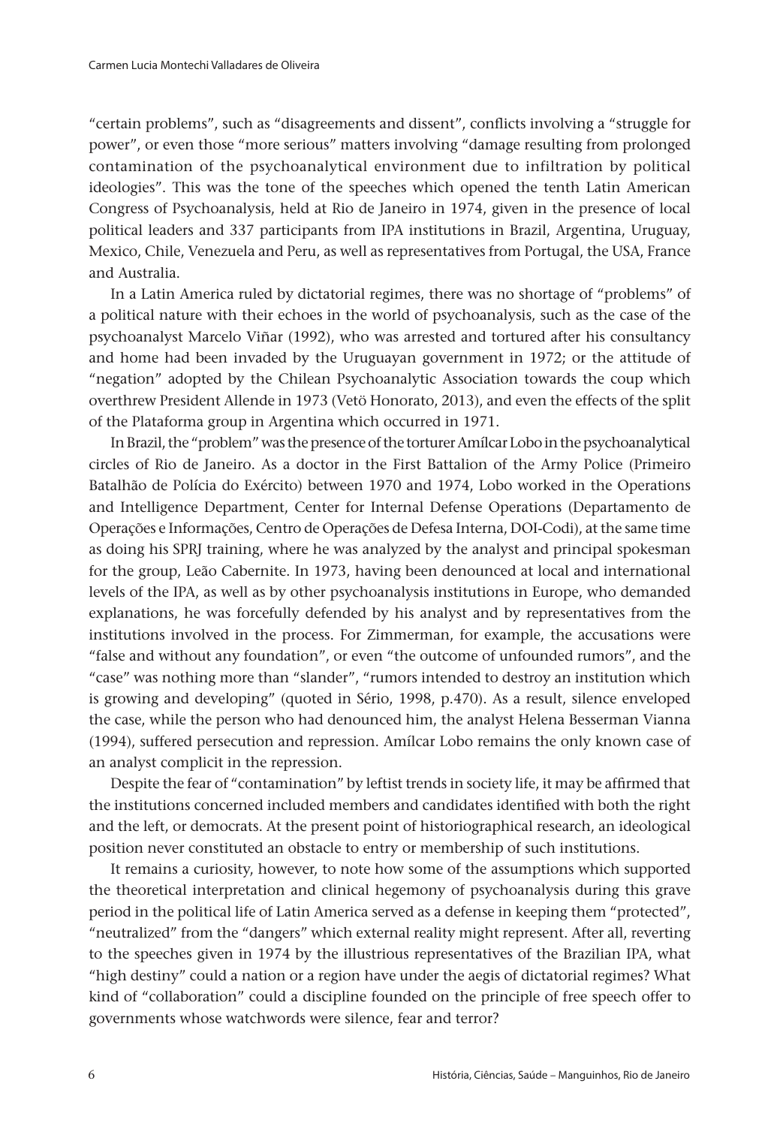"certain problems", such as "disagreements and dissent", conflicts involving a "struggle for power", or even those "more serious" matters involving "damage resulting from prolonged contamination of the psychoanalytical environment due to infiltration by political ideologies". This was the tone of the speeches which opened the tenth Latin American Congress of Psychoanalysis, held at Rio de Janeiro in 1974, given in the presence of local political leaders and 337 participants from IPA institutions in Brazil, Argentina, Uruguay, Mexico, Chile, Venezuela and Peru, as well as representatives from Portugal, the USA, France and Australia.

In a Latin America ruled by dictatorial regimes, there was no shortage of "problems" of a political nature with their echoes in the world of psychoanalysis, such as the case of the psychoanalyst Marcelo Viñar (1992), who was arrested and tortured after his consultancy and home had been invaded by the Uruguayan government in 1972; or the attitude of "negation" adopted by the Chilean Psychoanalytic Association towards the coup which overthrew President Allende in 1973 (Vetö Honorato, 2013), and even the effects of the split of the Plataforma group in Argentina which occurred in 1971.

In Brazil, the "problem" was the presence of the torturer Amílcar Lobo in the psychoanalytical circles of Rio de Janeiro. As a doctor in the First Battalion of the Army Police (Primeiro Batalhão de Polícia do Exército) between 1970 and 1974, Lobo worked in the Operations and Intelligence Department, Center for Internal Defense Operations (Departamento de Operações e Informações, Centro de Operações de Defesa Interna, DOI-Codi), at the same time as doing his SPRJ training, where he was analyzed by the analyst and principal spokesman for the group, Leão Cabernite. In 1973, having been denounced at local and international levels of the IPA, as well as by other psychoanalysis institutions in Europe, who demanded explanations, he was forcefully defended by his analyst and by representatives from the institutions involved in the process. For Zimmerman, for example, the accusations were "false and without any foundation", or even "the outcome of unfounded rumors", and the "case" was nothing more than "slander", "rumors intended to destroy an institution which is growing and developing" (quoted in Sério, 1998, p.470). As a result, silence enveloped the case, while the person who had denounced him, the analyst Helena Besserman Vianna (1994), suffered persecution and repression. Amílcar Lobo remains the only known case of an analyst complicit in the repression.

Despite the fear of "contamination" by leftist trends in society life, it may be affirmed that the institutions concerned included members and candidates identified with both the right and the left, or democrats. At the present point of historiographical research, an ideological position never constituted an obstacle to entry or membership of such institutions.

It remains a curiosity, however, to note how some of the assumptions which supported the theoretical interpretation and clinical hegemony of psychoanalysis during this grave period in the political life of Latin America served as a defense in keeping them "protected", "neutralized" from the "dangers" which external reality might represent. After all, reverting to the speeches given in 1974 by the illustrious representatives of the Brazilian IPA, what "high destiny" could a nation or a region have under the aegis of dictatorial regimes? What kind of "collaboration" could a discipline founded on the principle of free speech offer to governments whose watchwords were silence, fear and terror?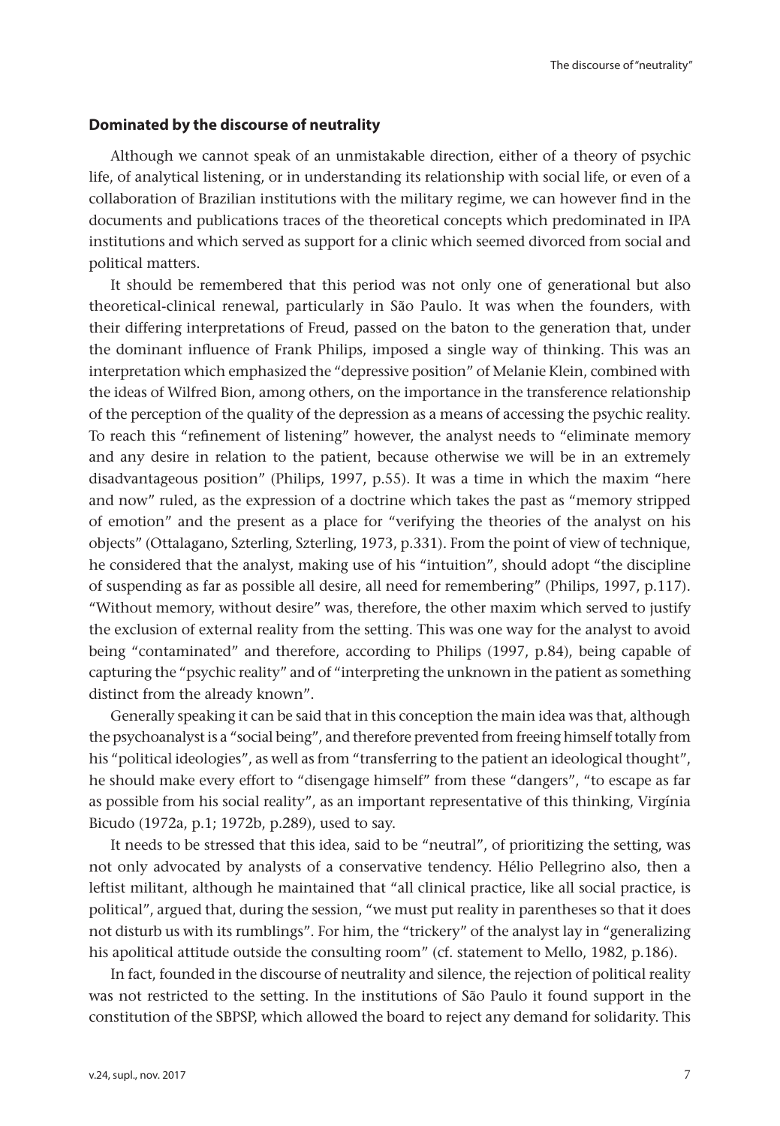## **Dominated by the discourse of neutrality**

Although we cannot speak of an unmistakable direction, either of a theory of psychic life, of analytical listening, or in understanding its relationship with social life, or even of a collaboration of Brazilian institutions with the military regime, we can however find in the documents and publications traces of the theoretical concepts which predominated in IPA institutions and which served as support for a clinic which seemed divorced from social and political matters.

It should be remembered that this period was not only one of generational but also theoretical-clinical renewal, particularly in São Paulo. It was when the founders, with their differing interpretations of Freud, passed on the baton to the generation that, under the dominant influence of Frank Philips, imposed a single way of thinking. This was an interpretation which emphasized the "depressive position" of Melanie Klein, combined with the ideas of Wilfred Bion, among others, on the importance in the transference relationship of the perception of the quality of the depression as a means of accessing the psychic reality. To reach this "refinement of listening" however, the analyst needs to "eliminate memory and any desire in relation to the patient, because otherwise we will be in an extremely disadvantageous position" (Philips, 1997, p.55). It was a time in which the maxim "here and now" ruled, as the expression of a doctrine which takes the past as "memory stripped of emotion" and the present as a place for "verifying the theories of the analyst on his objects" (Ottalagano, Szterling, Szterling, 1973, p.331). From the point of view of technique, he considered that the analyst, making use of his "intuition", should adopt "the discipline of suspending as far as possible all desire, all need for remembering" (Philips, 1997, p.117). "Without memory, without desire" was, therefore, the other maxim which served to justify the exclusion of external reality from the setting. This was one way for the analyst to avoid being "contaminated" and therefore, according to Philips (1997, p.84), being capable of capturing the "psychic reality" and of "interpreting the unknown in the patient as something distinct from the already known".

Generally speaking it can be said that in this conception the main idea was that, although the psychoanalyst is a "social being", and therefore prevented from freeing himself totally from his "political ideologies", as well as from "transferring to the patient an ideological thought", he should make every effort to "disengage himself" from these "dangers", "to escape as far as possible from his social reality", as an important representative of this thinking, Virgínia Bicudo (1972a, p.1; 1972b, p.289), used to say.

It needs to be stressed that this idea, said to be "neutral", of prioritizing the setting, was not only advocated by analysts of a conservative tendency. Hélio Pellegrino also, then a leftist militant, although he maintained that "all clinical practice, like all social practice, is political", argued that, during the session, "we must put reality in parentheses so that it does not disturb us with its rumblings". For him, the "trickery" of the analyst lay in "generalizing his apolitical attitude outside the consulting room" (cf. statement to Mello, 1982, p.186).

In fact, founded in the discourse of neutrality and silence, the rejection of political reality was not restricted to the setting. In the institutions of São Paulo it found support in the constitution of the SBPSP, which allowed the board to reject any demand for solidarity. This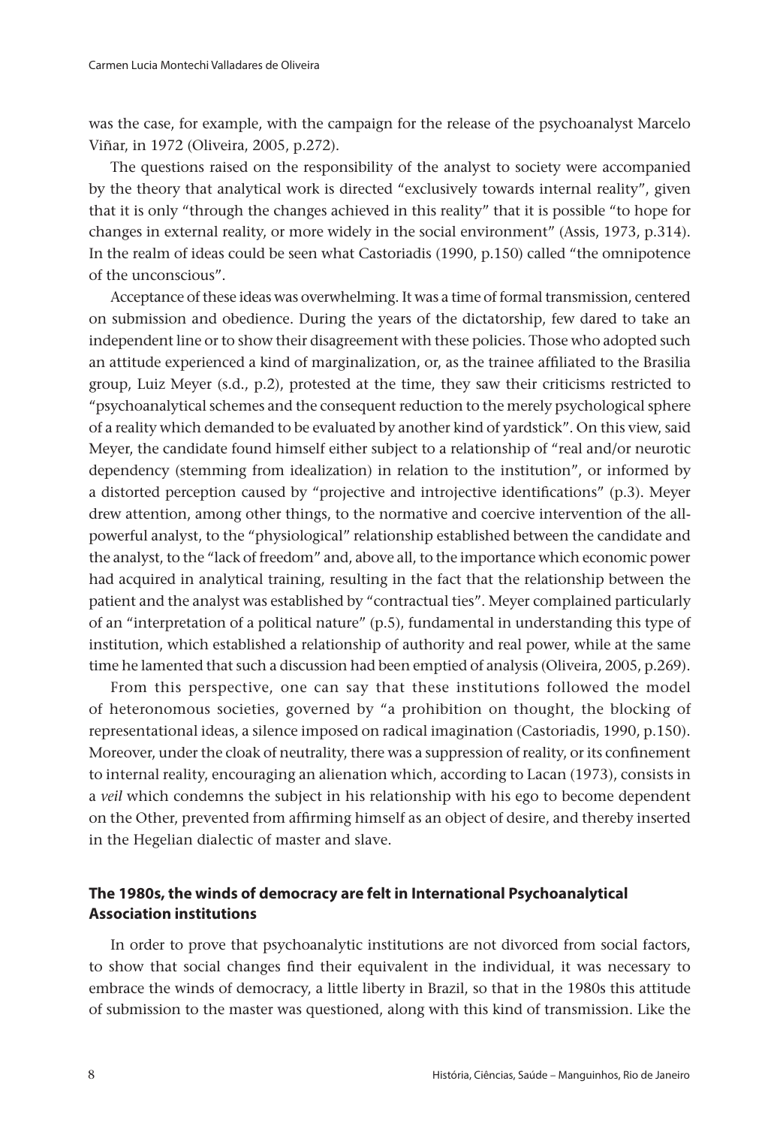was the case, for example, with the campaign for the release of the psychoanalyst Marcelo Viñar, in 1972 (Oliveira, 2005, p.272).

The questions raised on the responsibility of the analyst to society were accompanied by the theory that analytical work is directed "exclusively towards internal reality", given that it is only "through the changes achieved in this reality" that it is possible "to hope for changes in external reality, or more widely in the social environment" (Assis, 1973, p.314). In the realm of ideas could be seen what Castoriadis (1990, p.150) called "the omnipotence of the unconscious".

Acceptance of these ideas was overwhelming. It was a time of formal transmission, centered on submission and obedience. During the years of the dictatorship, few dared to take an independent line or to show their disagreement with these policies. Those who adopted such an attitude experienced a kind of marginalization, or, as the trainee affiliated to the Brasilia group, Luiz Meyer (s.d., p.2), protested at the time, they saw their criticisms restricted to "psychoanalytical schemes and the consequent reduction to the merely psychological sphere of a reality which demanded to be evaluated by another kind of yardstick". On this view, said Meyer, the candidate found himself either subject to a relationship of "real and/or neurotic dependency (stemming from idealization) in relation to the institution", or informed by a distorted perception caused by "projective and introjective identifications" (p.3). Meyer drew attention, among other things, to the normative and coercive intervention of the allpowerful analyst, to the "physiological" relationship established between the candidate and the analyst, to the "lack of freedom" and, above all, to the importance which economic power had acquired in analytical training, resulting in the fact that the relationship between the patient and the analyst was established by "contractual ties". Meyer complained particularly of an "interpretation of a political nature" (p.5), fundamental in understanding this type of institution, which established a relationship of authority and real power, while at the same time he lamented that such a discussion had been emptied of analysis (Oliveira, 2005, p.269).

From this perspective, one can say that these institutions followed the model of heteronomous societies, governed by "a prohibition on thought, the blocking of representational ideas, a silence imposed on radical imagination (Castoriadis, 1990, p.150). Moreover, under the cloak of neutrality, there was a suppression of reality, or its confinement to internal reality, encouraging an alienation which, according to Lacan (1973), consists in a *veil* which condemns the subject in his relationship with his ego to become dependent on the Other, prevented from affirming himself as an object of desire, and thereby inserted in the Hegelian dialectic of master and slave.

# **The 1980s, the winds of democracy are felt in International Psychoanalytical Association institutions**

In order to prove that psychoanalytic institutions are not divorced from social factors, to show that social changes find their equivalent in the individual, it was necessary to embrace the winds of democracy, a little liberty in Brazil, so that in the 1980s this attitude of submission to the master was questioned, along with this kind of transmission. Like the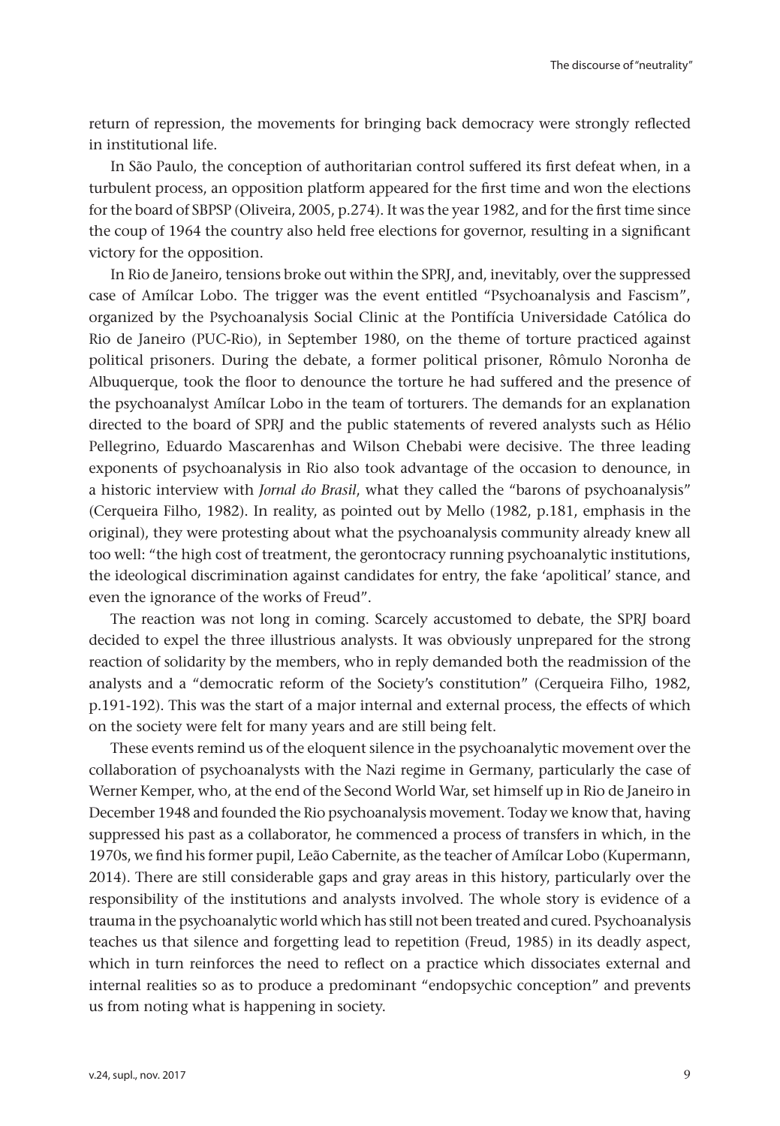return of repression, the movements for bringing back democracy were strongly reflected in institutional life.

In São Paulo, the conception of authoritarian control suffered its first defeat when, in a turbulent process, an opposition platform appeared for the first time and won the elections for the board of SBPSP (Oliveira, 2005, p.274). It was the year 1982, and for the first time since the coup of 1964 the country also held free elections for governor, resulting in a significant victory for the opposition.

In Rio de Janeiro, tensions broke out within the SPRJ, and, inevitably, over the suppressed case of Amílcar Lobo. The trigger was the event entitled "Psychoanalysis and Fascism", organized by the Psychoanalysis Social Clinic at the Pontifícia Universidade Católica do Rio de Janeiro (PUC-Rio), in September 1980, on the theme of torture practiced against political prisoners. During the debate, a former political prisoner, Rômulo Noronha de Albuquerque, took the floor to denounce the torture he had suffered and the presence of the psychoanalyst Amílcar Lobo in the team of torturers. The demands for an explanation directed to the board of SPRJ and the public statements of revered analysts such as Hélio Pellegrino, Eduardo Mascarenhas and Wilson Chebabi were decisive. The three leading exponents of psychoanalysis in Rio also took advantage of the occasion to denounce, in a historic interview with *Jornal do Brasil*, what they called the "barons of psychoanalysis" (Cerqueira Filho, 1982). In reality, as pointed out by Mello (1982, p.181, emphasis in the original), they were protesting about what the psychoanalysis community already knew all too well: "the high cost of treatment, the gerontocracy running psychoanalytic institutions, the ideological discrimination against candidates for entry, the fake 'apolitical' stance, and even the ignorance of the works of Freud".

The reaction was not long in coming. Scarcely accustomed to debate, the SPRJ board decided to expel the three illustrious analysts. It was obviously unprepared for the strong reaction of solidarity by the members, who in reply demanded both the readmission of the analysts and a "democratic reform of the Society's constitution" (Cerqueira Filho, 1982, p.191-192). This was the start of a major internal and external process, the effects of which on the society were felt for many years and are still being felt.

These events remind us of the eloquent silence in the psychoanalytic movement over the collaboration of psychoanalysts with the Nazi regime in Germany, particularly the case of Werner Kemper, who, at the end of the Second World War, set himself up in Rio de Janeiro in December 1948 and founded the Rio psychoanalysis movement. Today we know that, having suppressed his past as a collaborator, he commenced a process of transfers in which, in the 1970s, we find his former pupil, Leão Cabernite, as the teacher of Amílcar Lobo (Kupermann, 2014). There are still considerable gaps and gray areas in this history, particularly over the responsibility of the institutions and analysts involved. The whole story is evidence of a trauma in the psychoanalytic world which has still not been treated and cured. Psychoanalysis teaches us that silence and forgetting lead to repetition (Freud, 1985) in its deadly aspect, which in turn reinforces the need to reflect on a practice which dissociates external and internal realities so as to produce a predominant "endopsychic conception" and prevents us from noting what is happening in society.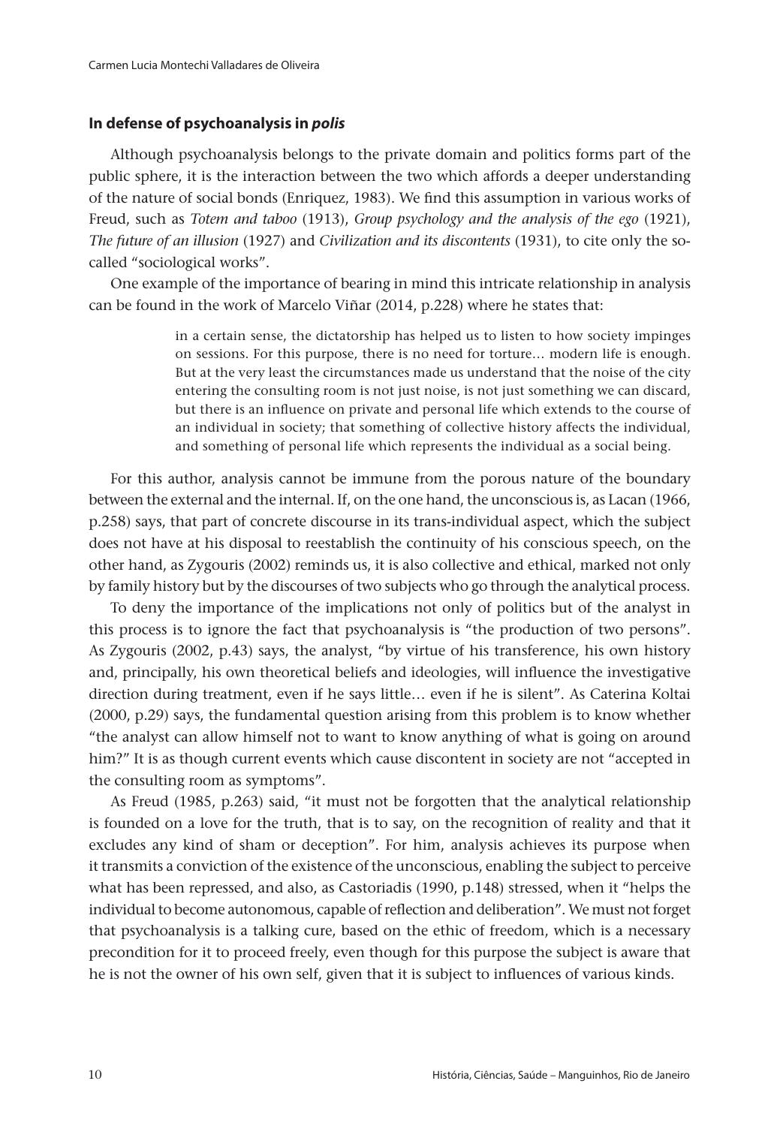# **In defense of psychoanalysis in** *polis*

Although psychoanalysis belongs to the private domain and politics forms part of the public sphere, it is the interaction between the two which affords a deeper understanding of the nature of social bonds (Enriquez, 1983). We find this assumption in various works of Freud, such as *Totem and taboo* (1913), *Group psychology and the analysis of the ego* (1921), *The future of an illusion* (1927) and *Civilization and its discontents* (1931), to cite only the socalled "sociological works".

One example of the importance of bearing in mind this intricate relationship in analysis can be found in the work of Marcelo Viñar (2014, p.228) where he states that:

> in a certain sense, the dictatorship has helped us to listen to how society impinges on sessions. For this purpose, there is no need for torture… modern life is enough. But at the very least the circumstances made us understand that the noise of the city entering the consulting room is not just noise, is not just something we can discard, but there is an influence on private and personal life which extends to the course of an individual in society; that something of collective history affects the individual, and something of personal life which represents the individual as a social being.

For this author, analysis cannot be immune from the porous nature of the boundary between the external and the internal. If, on the one hand, the unconscious is, as Lacan (1966, p.258) says, that part of concrete discourse in its trans-individual aspect, which the subject does not have at his disposal to reestablish the continuity of his conscious speech, on the other hand, as Zygouris (2002) reminds us, it is also collective and ethical, marked not only by family history but by the discourses of two subjects who go through the analytical process.

To deny the importance of the implications not only of politics but of the analyst in this process is to ignore the fact that psychoanalysis is "the production of two persons". As Zygouris (2002, p.43) says, the analyst, "by virtue of his transference, his own history and, principally, his own theoretical beliefs and ideologies, will influence the investigative direction during treatment, even if he says little… even if he is silent". As Caterina Koltai (2000, p.29) says, the fundamental question arising from this problem is to know whether "the analyst can allow himself not to want to know anything of what is going on around him?" It is as though current events which cause discontent in society are not "accepted in the consulting room as symptoms".

As Freud (1985, p.263) said, "it must not be forgotten that the analytical relationship is founded on a love for the truth, that is to say, on the recognition of reality and that it excludes any kind of sham or deception". For him, analysis achieves its purpose when it transmits a conviction of the existence of the unconscious, enabling the subject to perceive what has been repressed, and also, as Castoriadis (1990, p.148) stressed, when it "helps the individual to become autonomous, capable of reflection and deliberation". We must not forget that psychoanalysis is a talking cure, based on the ethic of freedom, which is a necessary precondition for it to proceed freely, even though for this purpose the subject is aware that he is not the owner of his own self, given that it is subject to influences of various kinds.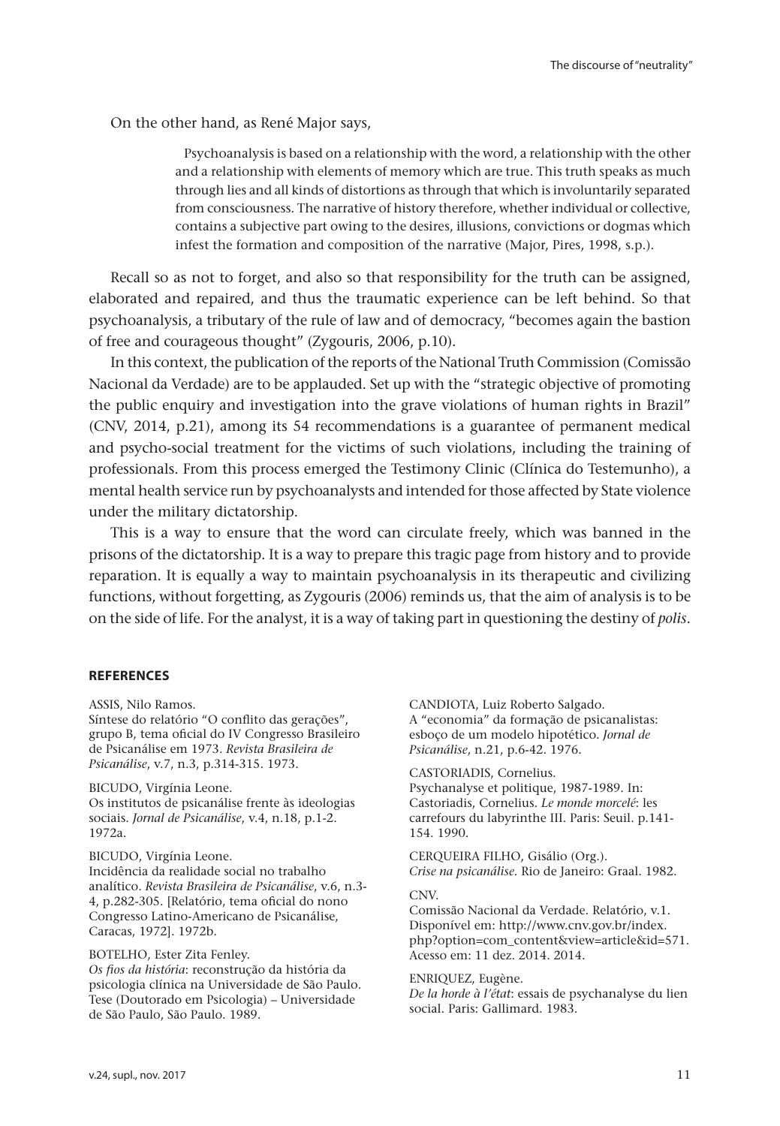On the other hand, as René Major says,

Psychoanalysis is based on a relationship with the word, a relationship with the other and a relationship with elements of memory which are true. This truth speaks as much through lies and all kinds of distortions as through that which is involuntarily separated from consciousness. The narrative of history therefore, whether individual or collective, contains a subjective part owing to the desires, illusions, convictions or dogmas which infest the formation and composition of the narrative (Major, Pires, 1998, s.p.).

Recall so as not to forget, and also so that responsibility for the truth can be assigned, elaborated and repaired, and thus the traumatic experience can be left behind. So that psychoanalysis, a tributary of the rule of law and of democracy, "becomes again the bastion of free and courageous thought" (Zygouris, 2006, p.10).

In this context, the publication of the reports of the National Truth Commission (Comissão Nacional da Verdade) are to be applauded. Set up with the "strategic objective of promoting the public enquiry and investigation into the grave violations of human rights in Brazil" (CNV, 2014, p.21), among its 54 recommendations is a guarantee of permanent medical and psycho-social treatment for the victims of such violations, including the training of professionals. From this process emerged the Testimony Clinic (Clínica do Testemunho), a mental health service run by psychoanalysts and intended for those affected by State violence under the military dictatorship.

This is a way to ensure that the word can circulate freely, which was banned in the prisons of the dictatorship. It is a way to prepare this tragic page from history and to provide reparation. It is equally a way to maintain psychoanalysis in its therapeutic and civilizing functions, without forgetting, as Zygouris (2006) reminds us, that the aim of analysis is to be on the side of life. For the analyst, it is a way of taking part in questioning the destiny of *polis*.

### **REFERENCES**

ASSIS, Nilo Ramos.

Síntese do relatório "O conflito das gerações", grupo B, tema oficial do IV Congresso Brasileiro de Psicanálise em 1973. *Revista Brasileira de Psicanálise*, v.7, n.3, p.314-315. 1973.

BICUDO, Virgínia Leone. Os institutos de psicanálise frente às ideologias sociais. *Jornal de Psicanálise*, v.4, n.18, p.1-2. 1972a.

BICUDO, Virgínia Leone. Incidência da realidade social no trabalho analítico. *Revista Brasileira de Psicanálise*, v.6, n.3- 4, p.282-305. [Relatório, tema oficial do nono Congresso Latino-Americano de Psicanálise, Caracas, 1972]. 1972b.

BOTELHO, Ester Zita Fenley. *Os fios da história*: reconstrução da história da psicologia clínica na Universidade de São Paulo. Tese (Doutorado em Psicologia) – Universidade de São Paulo, São Paulo. 1989.

CANDIOTA, Luiz Roberto Salgado. A "economia" da formação de psicanalistas: esboço de um modelo hipotético. *Jornal de Psicanálise*, n.21, p.6-42. 1976.

#### CASTORIADIS, Cornelius.

Psychanalyse et politique, 1987-1989. In: Castoriadis, Cornelius. *Le monde morcelé*: les carrefours du labyrinthe III. Paris: Seuil. p.141- 154. 1990.

CERQUEIRA FILHO, Gisálio (Org.). *Crise na psicanálise*. Rio de Janeiro: Graal. 1982.

#### $C<sub>N</sub>$

Comissão Nacional da Verdade. Relatório, v.1. Disponível em: http://www.cnv.gov.br/index. php?option=com\_content&view=article&id=571. Acesso em: 11 dez. 2014. 2014.

#### ENRIQUEZ, Eugène.

*De la horde à l'état*: essais de psychanalyse du lien social. Paris: Gallimard. 1983.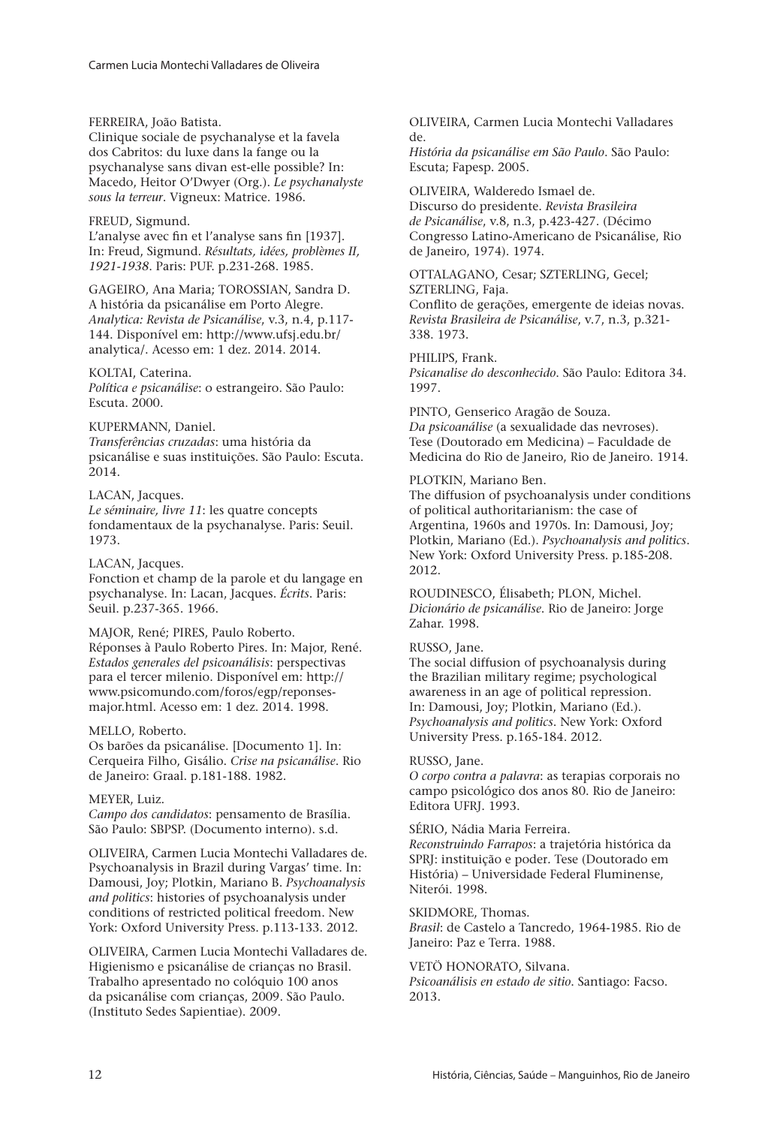#### FERREIRA, João Batista.

Clinique sociale de psychanalyse et la favela dos Cabritos: du luxe dans la fange ou la psychanalyse sans divan est-elle possible? In: Macedo, Heitor O'Dwyer (Org.). *Le psychanalyste sous la terreur*. Vigneux: Matrice. 1986.

#### FREUD, Sigmund.

L'analyse avec fin et l'analyse sans fin [1937]. In: Freud, Sigmund. *Résultats, idées, problèmes II, 1921-1938*. Paris: PUF. p.231-268. 1985.

GAGEIRO, Ana Maria; TOROSSIAN, Sandra D. A história da psicanálise em Porto Alegre. *Analytica: Revista de Psicanálise*, v.3, n.4, p.117- 144. Disponível em: http://www.ufsj.edu.br/ analytica/. Acesso em: 1 dez. 2014. 2014.

# KOLTAI, Caterina.

*Política e psicanálise*: o estrangeiro. São Paulo: Escuta. 2000.

# KUPERMANN, Daniel.

*Transferências cruzadas*: uma história da psicanálise e suas instituições. São Paulo: Escuta.  $2014.$ 

#### LACAN, Jacques.

*Le séminaire, livre 11*: les quatre concepts fondamentaux de la psychanalyse. Paris: Seuil. 1973.

#### LACAN, Jacques.

Fonction et champ de la parole et du langage en psychanalyse. In: Lacan, Jacques. *Écrits*. Paris: Seuil. p.237-365. 1966.

#### MAJOR, René; PIRES, Paulo Roberto.

Réponses à Paulo Roberto Pires. In: Major, René. *Estados generales del psicoanálisis*: perspectivas para el tercer milenio. Disponível em: http:// www.psicomundo.com/foros/egp/reponsesmajor.html. Acesso em: 1 dez. 2014. 1998.

#### MELLO, Roberto.

Os barões da psicanálise. [Documento 1]. In: Cerqueira Filho, Gisálio. *Crise na psicanálise*. Rio de Janeiro: Graal. p.181-188. 1982.

#### MEYER, Luiz.

*Campo dos candidatos*: pensamento de Brasília. São Paulo: SBPSP. (Documento interno). s.d.

OLIVEIRA, Carmen Lucia Montechi Valladares de. Psychoanalysis in Brazil during Vargas' time. In: Damousi, Joy; Plotkin, Mariano B. *Psychoanalysis and politics*: histories of psychoanalysis under conditions of restricted political freedom. New York: Oxford University Press. p.113-133. 2012.

OLIVEIRA, Carmen Lucia Montechi Valladares de. Higienismo e psicanálise de crianças no Brasil. Trabalho apresentado no colóquio 100 anos da psicanálise com crianças, 2009. São Paulo. (Instituto Sedes Sapientiae). 2009.

OLIVEIRA, Carmen Lucia Montechi Valladares de.

*História da psicanálise em São Paulo*. São Paulo: Escuta; Fapesp. 2005.

#### OLIVEIRA, Walderedo Ismael de.

Discurso do presidente. *Revista Brasileira de Psicanálise*, v.8, n.3, p.423-427. (Décimo Congresso Latino-Americano de Psicanálise, Rio de Janeiro, 1974). 1974.

#### OTTALAGANO, Cesar; SZTERLING, Gecel; SZTERLING, Faja. Conflito de gerações, emergente de ideias novas.

*Revista Brasileira de Psicanálise*, v.7, n.3, p.321- 338. 1973.

#### PHILIPS, Frank.

*Psicanalise do desconhecido*. São Paulo: Editora 34. 1997.

PINTO, Genserico Aragão de Souza. *Da psicoanálise* (a sexualidade das nevroses). Tese (Doutorado em Medicina) – Faculdade de Medicina do Rio de Janeiro, Rio de Janeiro. 1914.

#### PLOTKIN, Mariano Ben.

The diffusion of psychoanalysis under conditions of political authoritarianism: the case of Argentina, 1960s and 1970s. In: Damousi, Joy; Plotkin, Mariano (Ed.). *Psychoanalysis and politics*. New York: Oxford University Press. p.185-208. 2012.

ROUDINESCO, Élisabeth; PLON, Michel. *Dicionário de psicanálise*. Rio de Janeiro: Jorge Zahar. 1998.

#### RUSSO, Jane.

The social diffusion of psychoanalysis during the Brazilian military regime; psychological awareness in an age of political repression. In: Damousi, Joy; Plotkin, Mariano (Ed.). *Psychoanalysis and politics*. New York: Oxford University Press. p.165-184. 2012.

#### RUSSO, Jane.

*O corpo contra a palavra*: as terapias corporais no campo psicológico dos anos 80. Rio de Janeiro: Editora UFRJ. 1993.

#### SÉRIO, Nádia Maria Ferreira.

*Reconstruindo Farrapos*: a trajetória histórica da SPRJ: instituição e poder*.* Tese (Doutorado em História) – Universidade Federal Fluminense, Niterói. 1998.

#### SKIDMORE, Thomas.

*Brasil*: de Castelo a Tancredo, 1964-1985. Rio de Janeiro: Paz e Terra. 1988.

#### VETÖ HONORATO, Silvana.

*Psicoanálisis en estado de sitio*. Santiago: Facso. 2013.